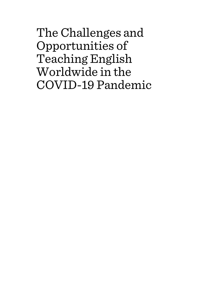The Challenges and Opportunities of Teaching English Worldwide in the COVID-19 Pandemic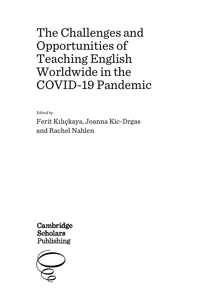# The Challenges and Opportunities of Teaching English Worldwide in the COVID-19 Pandemic

Edited by

Ferit Kılıçkaya, Joanna Kic-Drgas and Rachel Nahlen

Cambridge **Scholars** Publishing

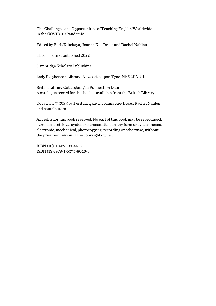The Challenges and Opportunities of Teaching English Worldwide in the COVID-19 Pandemic

Edited by Ferit Kılıçkaya, Joanna Kic-Drgas and Rachel Nahlen

This book first published 2022

Cambridge Scholars Publishing

Lady Stephenson Library, Newcastle upon Tyne, NE6 2PA, UK

British Library Cataloguing in Publication Data A catalogue record for this book is available from the British Library

Copyright © 2022 by Ferit Kılıçkaya, Joanna Kic-Drgas, Rachel Nahlen and contributors

All rights for this book reserved. No part of this book may be reproduced, stored in a retrieval system, or transmitted, in any form or by any means, electronic, mechanical, photocopying, recording or otherwise, without the prior permission of the copyright owner.

ISBN (10): 1-5275-8046-6 ISBN (13): 978-1-5275-8046-6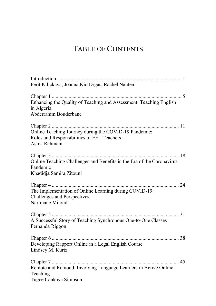## TABLE OF CONTENTS

| Ferit Kılıçkaya, Joanna Kic-Drgas, Rachel Nahlen                                                                    |
|---------------------------------------------------------------------------------------------------------------------|
|                                                                                                                     |
| Enhancing the Quality of Teaching and Assessment: Teaching English<br>in Algeria<br>Abderrahim Bouderbane           |
| Online Teaching Journey during the COVID-19 Pandemic:<br>Roles and Responsibilities of EFL Teachers<br>Asma Rahmani |
| Online Teaching Challenges and Benefits in the Era of the Coronavirus<br>Pandemic<br>Khadidja Samira Zitouni        |
| The Implementation of Online Learning during COVID-19:<br>Challenges and Perspectives<br>Narimane Miloudi           |
| A Successful Story of Teaching Synchronous One-to-One Classes<br>Fernanda Riggon                                    |
| Developing Rapport Online in a Legal English Course<br>Lindsey M. Kurtz                                             |
| Remote and Remood: Involving Language Learners in Active Online<br>Teaching<br>Tugce Cankaya Simpson                |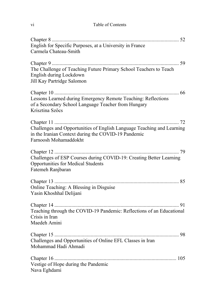| English for Specific Purposes, at a University in France<br>Carmela Chateau-Smith                                                                      |
|--------------------------------------------------------------------------------------------------------------------------------------------------------|
| The Challenge of Teaching Future Primary School Teachers to Teach<br>English during Lockdown<br>Jill Kay Partridge Salomon                             |
| Lessons Learned during Emergency Remote Teaching: Reflections<br>of a Secondary School Language Teacher from Hungary<br>Krisztina Szőcs                |
| Challenges and Opportunities of English Language Teaching and Learning<br>in the Iranian Context during the COVID-19 Pandemic<br>Farnoosh Mohamaddokht |
| Challenges of ESP Courses during COVID-19: Creating Better Learning<br>Opportunities for Medical Students<br>Fatemeh Ranjbaran                         |
| Online Teaching: A Blessing in Disguise<br>Yasin Khoshhal Delijani                                                                                     |
| Teaching through the COVID-19 Pandemic: Reflections of an Educational<br>Crisis in Iran<br>Maedeh Amini                                                |
| Challenges and Opportunities of Online EFL Classes in Iran<br>Mohammad Hadi Ahmadi                                                                     |
| Vestige of Hope during the Pandemic<br>Nava Eghdami                                                                                                    |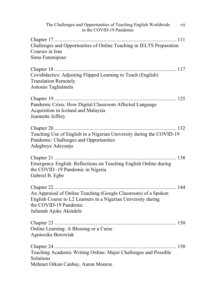| The Challenges and Opportunities of Teaching English Worldwide<br>vii<br>in the COVID-19 Pandemic                                                                                   |
|-------------------------------------------------------------------------------------------------------------------------------------------------------------------------------------|
| Challenges and Opportunities of Online Teaching in IELTS Preparation<br>Courses in Iran<br>Sima Fatemipour                                                                          |
| Covididactics: Adjusting Flipped Learning to Teach (English)<br><b>Translation Remotely</b><br>Antonio Taglialatela                                                                 |
|                                                                                                                                                                                     |
| Pandemic Crisis: How Digital Classroom Affected Language<br>Acquisition in Iceland and Malaysia<br>Jeannette Jeffrey                                                                |
| Teaching Use of English in a Nigerian University during the COVID-19<br>Pandemic: Challenges and Opportunities<br>Adegboye Adeyanju                                                 |
| Emergency English: Reflections on Teaching English Online during<br>the COVID -19 Pandemic in Nigeria<br>Gabriel B. Egbe                                                            |
| An Appraisal of Online Teaching (Google Classroom) of a Spoken<br>English Course to L2 Learners in a Nigerian University during<br>the COVID-19 Pandemic<br>Julianah Ajoke Akindele |
| Online Learning: A Blessing or a Curse<br>Agnieszka Borowiak                                                                                                                        |
| Teaching Academic Writing Online: Major Challenges and Possible<br>Solutions<br>Mehmet Orkun Canbay, Aaron Monroe                                                                   |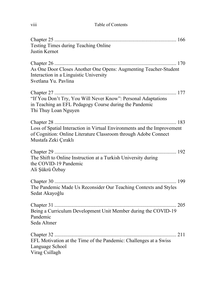| Testing Times during Teaching Online<br>Justin Kernot                                                                                                              |
|--------------------------------------------------------------------------------------------------------------------------------------------------------------------|
| As One Door Closes Another One Opens: Augmenting Teacher-Student<br>Interaction in a Linguistic University<br>Svetlana Yu. Pavlina                                 |
| "If You Don't Try, You Will Never Know": Personal Adaptations<br>in Teaching an EFL Pedagogy Course during the Pandemic<br>Thi Thuy Loan Nguyen                    |
| Loss of Spatial Interaction in Virtual Environments and the Improvement<br>of Cognition: Online Literature Classroom through Adobe Connect<br>Mustafa Zeki Çıraklı |
| The Shift to Online Instruction at a Turkish University during<br>the COVID-19 Pandemic<br>Ali Şükrü Özbay                                                         |
| The Pandemic Made Us Reconsider Our Teaching Contexts and Styles<br>Sedat Akayoğlu                                                                                 |
| Being a Curriculum Development Unit Member during the COVID-19<br>Pandemic<br>Seda Altıner                                                                         |
| EFL Motivation at the Time of the Pandemic: Challenges at a Swiss<br>Language School<br>Virag Csillagh                                                             |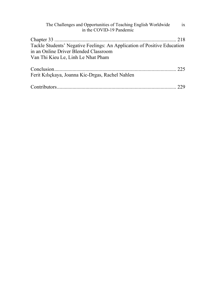| The Challenges and Opportunities of Teaching English Worldwide<br>in the COVID-19 Pandemic | ix  |
|--------------------------------------------------------------------------------------------|-----|
| Tackle Students' Negative Feelings: An Application of Positive Education                   |     |
| in an Online Driver Blended Classroom<br>Van Thi Kieu Le, Linh Le Nhat Pham                |     |
| Ferit Kılıçkaya, Joanna Kic-Drgas, Rachel Nahlen                                           | 225 |
|                                                                                            |     |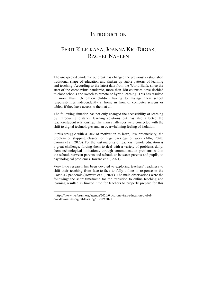### **INTRODUCTION**

## FERIT KILIÇKAYA, JOANNA KIC-DRGAS, RACHEL NAHLEN

The unexpected pandemic outbreak has changed the previously established traditional shape of education and shaken up stable patterns of learning and teaching. According to the latest data from the World Bank, since the start of the coronavirus pandemic, more than 180 countries have decided to close schools and switch to remote or hybrid learning. This has resulted in more than 1.6 billion children having to manage their school responsibilities independently at home in front of computer screens or tablets if they have access to them at all<sup>1</sup>.

The following situation has not only changed the accessibility of learning by introducing distance learning solutions but has also affected the teacher-student relationship. The main challenges were connected with the shift to digital technologies and an overwhelming feeling of isolation.

Pupils struggle with a lack of motivation to learn, low productivity, the problem of skipping classes, or huge backlogs of work (Allo, 2020; Coman et al., 2020). For the vast majority of teachers, remote education is a great challenge, forcing them to deal with a variety of problems daily: from technological limitations, through communication problems within the school, between parents and school, or between parents and pupils, to psychological problems (Howard et al., 2021).

Very little research has been devoted to exploring teachers' readiness to shift their teaching from face-to-face to fully online in response to the Covid-19 pandemic (Howard et al., 2021). The main observations were the following: the short timeframe for the transition to online teaching and learning resulted in limited time for teachers to properly prepare for this

<sup>1</sup> https://www.weforum.org/agenda/2020/04/coronavirus-education-globalcovid19-online-digital-learning/, 12.09.2021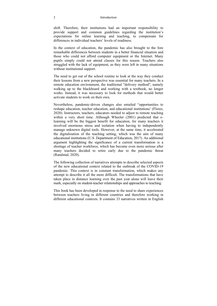#### 2 Introduction

shift. Therefore, their institutions had an important responsibility to provide support and common guidelines regarding the institution's expectations for online learning and teaching, to compensate for differences in individual teachers' levels of readiness.

In the context of education, the pandemic has also brought to the fore remarkable differences between students in a better financial situation and those who could not afford computer equipment or the Internet. Many pupils simply could not attend classes for this reason. Teachers also struggled with the lack of equipment, as they were left in many situations without institutional support.

The need to get out of the school routine to look at the way they conduct their lessons from a new perspective was essential for many teachers. In a remote education environment, the traditional "delivery method", namely walking up to the blackboard and working with a textbook, no longer works. Instead, it was necessary to look for methods that would better activate students to work on their own.

Nevertheless, pandemic-driven changes also entailed "opportunities to reshape education, teacher education, and educational institutions' (Flores, 2020). Instructors, teachers, educators needed to adjust to remote teaching within a very short time. Although Wheeler (2001) predicted that elearning will be the biggest benefit for education, for many teachers it involved enormous stress and isolation when having to independently manage unknown digital tools. However, at the same time, it accelerated the digitalization of the teaching setting, which was the aim of many educational institutions (U.S. Department of Education, 2017). An additional argument highlighting the significance of a current transformation is a shortage of teacher workforce, which has become even more serious after many teachers decided to retire early due to the pandemic threat (Randstad, 2020).

The following collection of narratives attempts to describe selected aspects of the new educational context related to the outbreak of the COVID-19 pandemic. This context is in constant transformation, which makes any attempt to describe it all the more difficult. The transformations that have taken place in distance learning over the past year alone will leave their mark, especially on student-teacher relationships and approaches to teaching.

This book has been developed in response to the need to share experiences between teachers living in different countries and therefore working in different educational contexts. It contains 33 narratives written in English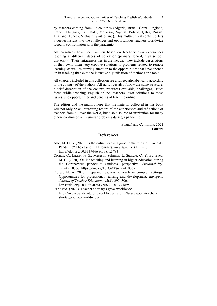#### The Challenges and Opportunities of Teaching English Worldwide in the COVID-19 Pandemic

by teachers coming from 17 countries (Algeria, Brazil, China, England, France, Hungary, Iran, Italy, Malaysia, Nigeria, Poland, Qatar, Russia, Thailand, Turkey, Vietnam, Switzerland). This multicultural context offers a deeper insight into the challenges and opportunities teachers worldwide faced in confrontation with the pandemic.

All narratives have been written based on teachers' own experiences teaching at different stages of education (primary school, high school, university). Their uniqueness lies in the fact that they include descriptions of their own, often very creative solutions to problems related to remote learning, as well as drawing attention to the opportunities that have opened up in teaching thanks to the intensive digitalisation of methods and tools.

All chapters included in this collection are arranged alphabetically according to the country of the authors. All narratives also follow the same structure: a brief description of the context, resources available, challenges, issues faced while teaching English online, teachers' own solutions to these issues, and opportunities and benefits of teaching online.

The editors and the authors hope that the material collected in this book will not only be an interesting record of the experiences and reflections of teachers from all over the world, but also a source of inspiration for many others confronted with similar problems during a pandemic.

> Poznań and California, 2021 **Editors**

### **References**

- Allo, M. D. G. (2020). Is the online learning good in the midst of Covid-19 Pandemic? The case of EFL learners. *Sinestesia, 10*(1), 1–10. https://doi.org/10.33394/jo-elt.v8i1.3783
- Coman, C., Laurentiu G., Meseșan-Schmitz, L. Stanciu, C., & Buluraca, M. C. (2020). Online teaching and learning in higher education during the Coronavirus pandemic: Students' perspective. *Sustainability, 12*(24), 10367. https://doi.org/10.3390/su122410367
- Flores, M. A. 2020. Preparing teachers to teach in complex settings: Opportunities for professional learning and development. *European Journal of Teacher Education, 43*(3), 297–300. https://doi.org/10.1080/02619768.2020.1771895

Randstad. (2020). Teacher shortages grow worldwide. https://www.randstad.com/workforce-insights/future-work/teachershortages-grow-worldwide/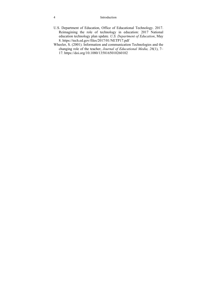#### 4 Introduction

- U.S. Department of Education, Office of Educational Technology. 2017. Reimagining the role of technology in education: 2017 National education technology plan update. *U.S. Department of Education*, May 8. https://tech.ed.gov/files/2017/01/NETP17.pdf
- Wheeler, S. (2001). Information and communication Technologies and the changing role of the teacher, *Journal of Educational Media, 26*(1), 7– 17. https://doi.org/10.1080/1358165010260102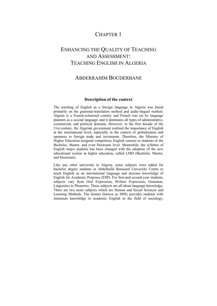## CHAPTER 1

## ENHANCING THE QUALITY OF TEACHING AND ASSESSMENT: TEACHING ENGLISH IN ALGERIA

### ABDERRAHIM BOUDERBANE

### **Description of the context**

The teaching of English as a foreign language in Algeria was based primarily on the grammar-translation method and audio-lingual method. Algeria is a French-colonized country and French was set by language planners as a second language, and it dominates all types of administrative, commercial, and political domains. However, in the first decade of the 21st century, the Algerian government realized the importance of English at the international level, especially in the context of globalization and openness to foreign trade and investment. Therefore, the Ministry of Higher Education assigned compulsory English courses to students at the Bachelor, Master, and even Doctorate level. Meanwhile, the syllabus of English major students has been changed with the adoption of the new educational system in higher education, called LMD (Bachelor, Master, and Doctorate).

Like any other university in Algeria, some subjects were added for bachelor degree students at Abdelhafid Boussouf University Centre to teach English as an international language and increase knowledge of English for Academic Purposes (ESP). For first-and second-year students, subjects vary from Oral Expression, Written Expression, Grammar, Linguistics to Phonetics. These subjects are all about language knowledge. There are two more subjects which are Human and Social Sciences and Learning Methods. The former (known as SHS) provides students with minimum knowledge in academic English in the field of sociology,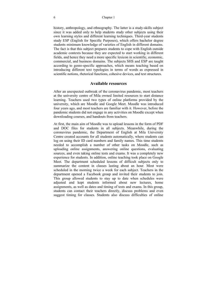#### 6 Chapter 1

history, anthropology, and ethnography. The latter is a study-skills subject since it was added only to help students study other subjects using their own learning styles and different learning techniques. Third-year students study ESP (English for Specific Purposes), which offers bachelor degree students minimum knowledge of varieties of English in different domains. The fact is that this subject prepares students to cope with English outside academic contexts because they are expected to start working in different fields, and hence they need a more specific lexicon in scientific, economic, commercial, and business domains. The subjects SHS and ESP are taught according to genre-specific approaches, which means teaching based on introducing different text typologies in terms of words as expressed in scientific notions, rhetorical functions, cohesive devices, and text structures.

### **Available resources**

After an unexpected outbreak of the coronavirus pandemic, most teachers at the university centre of Mila owned limited resources to start distance learning. Teachers used two types of online platforms provided by the university, which are Moodle and Google Meet. Moodle was introduced four years ago, and most teachers are familiar with it. However, before the pandemic students did not engage in any activities on Moodle except when downloading courses, and handouts from teachers.

At first, the main aim of Moodle was to upload lessons in the form of PDF and DOC files for students in all subjects. Meanwhile, during the coronavirus pandemic, the Department of English at Mila University Centre created accounts for all students automatically, where students can log on using their ID card numbers and family names. This time students needed to accomplish a number of other tasks on Moodle, such as uploading online assignments, answering online questions, evaluating sources, and even taking online tests and exams. It was a completely new experience for students. In addition, online teaching took place on Google Meet. The department scheduled lessons of difficult subjects only to summarize the content in classes lasting about an hour. Most were scheduled in the morning twice a week for each subject. Teachers in the department opened a Facebook group and invited their students to join. This group allowed students to stay up to date when schedules were adjusted and kept students informed about new lectures, home assignments, as well as dates and timing of tests and exams. In this group, students can contact their teachers directly, discuss problems and even suggest timing for classes. Students also discuss difficulties of online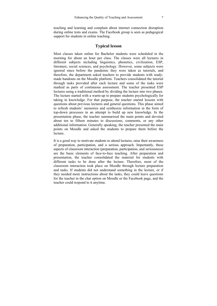teaching and learning and complain about internet connection disruption during online tests and exams. The Facebook group is seen as pedagogical support for students in online teaching.

### **Typical lesson**

Most classes taken online for Bachelor students were scheduled in the morning for about an hour per class. The classes were all lectures in different subjects including linguistics, phonetics, civilization, ESP, literature, social sciences, and psychology. However, some subjects were ignored since before the pandemic they were taken as tutorials, and therefore, the department asked teachers to provide students with readymade handouts on the Moodle platform. Teachers consolidated the tutorial through tasks provided after each lecture and some of the tasks were marked as parts of continuous assessment. The teacher presented ESP lectures using a traditional method by dividing the lecture into two phases. The lecture started with a warm-up to prepare students psychologically for taking in knowledge. For that purpose, the teacher started lessons with questions about previous lectures and general questions. This phase aimed to refresh students' memories and synthesize information in the form of top-down processes in an attempt to build up new knowledge. In the presentation phase, the teacher summarized the main points and devoted about ten to fifteen minutes to discussions, comments, or any other additional information. Generally speaking, the teacher presented the main points on Moodle and asked the students to prepare them before the lecture.

It is a good way to motivate students to attend lectures, raise their awareness of preparation, participation, and a serious approach. Importantly, these aspects of classroom interaction (preparation, participation, and seriousness) are the basic elements of face-to-face teaching. After preparation and presentation, the teacher consolidated the material for students with different tasks to be done after the lecture. Therefore, most of the classroom interaction took place on Moodle through lecture preparation and tasks. If students did not understand something in the lecture, or if they needed more instructions about the tasks, they could leave questions for the teacher in the chat option on Moodle or the Facebook page, and the teacher could respond to it anytime.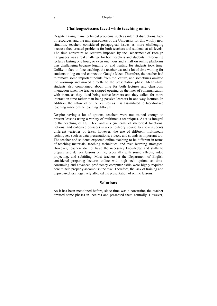### **Challenges/issues faced while teaching online**

Despite having many technical problems, such as internet disruptions, lack of resources, and the unpreparedness of the University for this wholly new situation, teachers considered pedagogical issues as more challenging because they created problems for both teachers and students at all levels. The time constraint on lectures imposed by the Department of Foreign Languages was a real challenge for both teachers and students. Introducing lectures lasting one hour, or even one hour and a half on online platforms was challenging because logging on and waiting for students took time. Unlike in face-to-face teaching, the teacher wasted a lot of time waiting for students to log on and connect to Google Meet. Therefore, the teacher had to remove some important points from the lecture, and sometimes omitted the warm-up and moved directly to the presentation phase. Meanwhile, students also complained about time for both lectures and classroom interaction when the teacher skipped opening up the lines of communication with them, as they liked being active learners and they called for more interaction time rather than being passive learners in one-way lectures. In addition, the nature of online lectures as it is assimilated to face-to-face teaching made online teaching difficult.

Despite having a lot of options, teachers were not trained enough to present lessons using a variety of multimedia techniques. As it is integral to the teaching of ESP, text analysis (in terms of rhetorical functions, notions, and cohesive devices) is a compulsory course to show students different varieties of texts; however, the use of different multimedia techniques, such as data presentations, videos, and sounds is important too. The teacher and students expected online teaching to be different in terms of teaching materials, teaching techniques, and even learning strategies. However, teachers do not have the necessary knowledge and skills to prepare and deliver lessons online, especially with sound effects, video projecting, and subtitling. Most teachers at the Department of English considered preparing lectures online with high tech options as timeconsuming and advanced proficiency computer skills were highly required here to help properly accomplish the task. Therefore, the lack of training and unpreparedness negatively affected the presentation of online lessons.

### **Solutions**

As it has been mentioned before, since time was a constraint, the teacher omitted some phases in lectures and presented them centrally. However,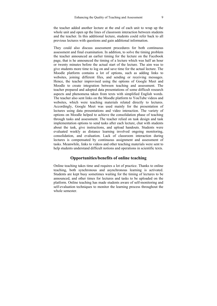the teacher added another lecture at the end of each unit to wrap up the whole unit and open up the lines of classroom interaction between students and the teacher. In this additional lecture, students could refer back to all previous lectures with questions and gain additional information.

They could also discuss assessment procedures for both continuous assessment and final examination. In addition, to solve the timing problem the teacher announced an earlier timing for the lecture on the Facebook page, that is he announced the timing of a lecture which was half an hour or twenty minutes before the actual start of the lecture. The aim was to give students more time to log on and save time for the actual lecture. The Moodle platform contains a lot of options, such as adding links to websites, joining different files, and sending or receiving messages. Hence, the teacher improvised using the options of Google Meet and Moodle to create integration between teaching and assessment. The teacher prepared and adopted data presentations of some difficult research aspects and phenomena taken from texts with simplified English words. The teacher also sent links on the Moodle platform to YouTube videos and websites, which were teaching materials related directly to lectures. Accordingly, Google Meet was used mainly for the presentation of lectures using data presentations and video interaction. The variety of options on Moodle helped to achieve the consolidation phase of teaching through tasks and assessment. The teacher relied on task design and task implementation options to send tasks after each lecture, chat with students about the task, give instructions, and upload handouts. Students were evaluated weekly as distance learning involved ongoing monitoring, consolidation, and evaluation. Lack of classroom interaction during lectures is compensated by continuous assignment and assessment of tasks. Meanwhile, links to videos and other teaching materials were sent to help students understand difficult notions and operations in scientific texts.

### **Opportunities/benefits of online teaching**

Online teaching takes time and requires a lot of practice. Thanks to online teaching, both synchronous and asynchronous learning is activated. Students are kept busy sometimes waiting for the timing of lectures to be announced, and other times for lectures and tasks to be uploaded on the platform. Online teaching has made students aware of self-monitoring and self-evaluation techniques to monitor the learning process throughout the whole semester.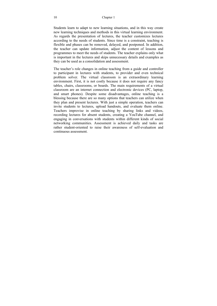Students learn to adapt to new learning situations, and in this way create new learning techniques and methods in this virtual learning environment. As regards the presentation of lectures, the teacher customizes lectures according to the needs of students. Since time is a constraint, teaching is flexible and phases can be removed, delayed, and postponed. In addition, the teacher can update information, adjust the content of lessons and programmes to meet the needs of students. The teacher explains only what is important in the lectures and skips unnecessary details and examples as they can be used as a consolidation and assessment.

The teacher's role changes in online teaching from a guide and controller to participant in lectures with students, to provider and even technical problem solver. The virtual classroom is an extraordinary learning environment. First, it is not costly because it does not require any fancy tables, chairs, classrooms, or boards. The main requirements of a virtual classroom are an internet connection and electronic devices (PC, laptop, and smart phones). Despite some disadvantages, online teaching is a blessing because there are so many options that teachers can utilize when they plan and present lectures. With just a simple operation, teachers can invite students to lectures, upload handouts, and evaluate them online. Teachers improvise in online teaching by sharing links and videos, recording lectures for absent students, creating a YouTube channel, and engaging in conversations with students within different kinds of social networking communities. Assessment is achieved daily and tasks are rather student-oriented to raise their awareness of self-evaluation and continuous assessment.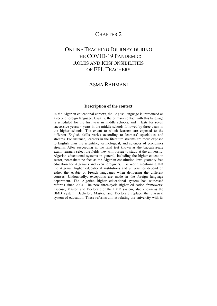### CHAPTER 2

## ONLINE TEACHING JOURNEY DURING THE COVID-19 PANDEMIC: ROLES AND RESPONSIBILITIES OF EFL TEACHERS

### ASMA RAHMANI

### **Description of the context**

In the Algerian educational context, the English language is introduced as a second foreign language. Usually, the primary contact with this language is scheduled for the first year in middle schools, and it lasts for seven successive years: 4 years in the middle schools followed by three years in the higher schools. The extent to which learners are exposed to the different English skills varies according to learners' specialties and streams. For instance, learners in the literature streams are more exposed to English than the scientific, technological, and sciences of economics streams. After succeeding in the final test known as the baccalaureate exam, learners select the fields they will pursue to study at the university. Algerian educational systems in general, including the higher education sector, necessitate no fees as the Algerian constitution laws guaranty free education for Algerians and even foreigners. It is worth mentioning that the Algerian higher educational institutions and universities depend on either the Arabic or French languages when delivering the different courses. Undoubtedly, exceptions are made in the foreign language department. The Algerian higher educational system has witnessed reforms since 2004. The new three-cycle higher education framework: License, Master, and Doctorate or the LMD system, also known as the BMD system: Bachelor, Master, and Doctorate replace the classical system of education. These reforms aim at relating the university with its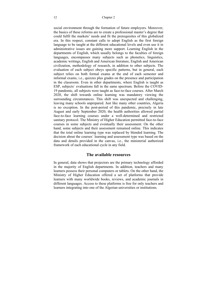social environment through the formation of future employers. Moreover, the basics of these reforms are to create a professional master's degree that could fulfil the markets' needs and fit the prerequisites of this globalized era. In this respect, constant calls to adopt English as the first foreign language to be taught at the different educational levels and even use it in administrative issues are gaining more support. Learning English in the departments of English, which usually belongs to the faculties of foreign languages, encompasses many subjects such as phonetics, linguistics, academic writings, English and American literature, English and American civilization, methodology of research, in addition to other subjects. The evaluation of each subject obeys specific patterns, but in general, each subject relies on both formal exams at the end of each semester and informal exams, i.e., quizzes plus grades on the presence and participation in the classroom. Even in other departments, where English is taught as ESP, subjects` evaluations fall in the same spectrum. Before the COVID-19 pandemic, all subjects were taught as face-to-face courses. After March 2020, the shift towards online learning was mandatory viewing the surrounding circumstances. This shift was unexpected and challenging, leaving many schools unprepared. Just like many other countries, Algeria is no exception. In the post-period of this pandemic, precisely in late August and early September 2020, the health authorities allowed partial face-to-face learning courses under a well-determined and restricted sanitary protocol. The Ministry of Higher Education permitted face-to-face courses in some subjects and eventually their assessment. On the other hand, some subjects and their assessment remained online. This indicates that the total online learning type was replaced by blended learning. The decision about the courses` learning and assessment type was based on the data and details provided in the canvas, i.e., the ministerial authorized framework of each educational cycle in any field.

### **The available resources**

In general, data shows that projectors are the primary technology afforded in the majority of English departments. In addition, teachers and many learners possess their personal computers or tablets. On the other hand, the Ministry of Higher Education offered a set of platforms that provide learners with many worldwide books, reviews, and academic journals in different languages. Access to these platforms is free for only teachers and learners integrating into one of the Algerian universities or institutions.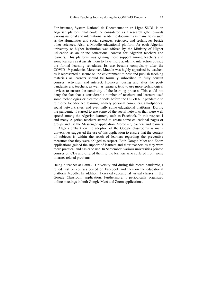For instance, System National de Documentation en Ligne SNDL is an Algerian platform that could be considered as a research gate towards various national and international academic documents in many fields such as the Humanities and social sciences, sciences, and techniques beside other sciences. Also, a Moodle educational platform for each Algerian university or higher institution was offered by the Ministry of Higher Education as an online educational context for Algerian teachers and learners. This platform was gaining more support among teachers and some learners as it assists them to have more academic interaction outside the formal learning schedules. Its use became compulsory after the COVID-19 pandemic. Moreover, Moodle was highly appraised by teachers as it represented a secure online environment to post and publish teaching materials as learners should be formally subscribed to fully consult courses, activities, and interact. However, during and after the postpandemic era, teachers, as well as learners, tend to use more technological devices to ensure the continuity of the learning process. This could not deny the fact that a considerable number of teachers and learners used some technologies or electronic tools before the COVID-19 pandemic to reinforce face-to-face learning, namely personal computers, smartphones, social network sites, and eventually some educational platforms. During the pandemic, I started to use some of the social networks that were well spread among the Algerian learners, such as Facebook. In this respect, I and many Algerian teachers started to create some educational pages or groups and use the Messenger application. Moreover, teachers and learners in Algeria embark on the adoption of the Google classrooms as many universities suggested the use of this application to ensure that the content of subjects is within the reach of learners regarding the preventive measures that they were obliged to respect. Both Google Meet and Zoom applications gained the support of learners and their teachers as they were more practical and easier to use. In September, various universities printed courses on CDs and offered them to the learners who suffered from some internet-related problems.

Being a teacher at Batna-1 University and during this recent pandemic, I relied first on courses posted on Facebook and then on the educational platform Moodle. In addition, I created educational virtual classes in the Google Classroom application. Furthermore, I periodically organized online meetings in both Google Meet and Zoom applications.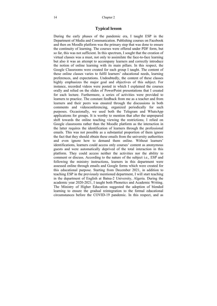### **Typical lesson**

During the early phases of the pandemic era, I taught ESP in the Department of Media and Communication. Publishing courses on Facebook and then on Moodle platform was the primary step that was done to ensure the continuity of learning. The courses were offered under PDF form, but so far, this was not sufficient. In this spectrum, I sought that the creation of virtual classes was a must, not only to assimilate the face-to-face learning but also it was an attempt to accompany learners and correctly introduce the notion of online learning with its main pillars. In this respect, the Google Classrooms were created for each group I taught. The content of these online classes varies to fulfil learners' educational needs, learning preferences, and expectations. Undoubtedly, the content of these classes highly emphasizes the major goal and objectives of this subject. For instance, recorded videos were posted in which I explained the courses orally and relied on the slides of PowerPoint presentations that I created for each lecture. Furthermore, a series of activities were provided to learners to practice. The constant feedback from me as a teacher and from learners and their peers was ensured through the discussions in both comments and videoconferencing, organized periodically for such purposes. Occasionally, we used both the Telegram and WhatsApp applications for groups. It is worthy to mention that after the unprepared shift towards the online teaching viewing the restrictions; I relied on Google classrooms rather than the Moodle platform as the interaction in the latter requires the identification of learners through the professional emails. This was not possible as a substantial proportion of them ignore the fact that they should obtain these emails from the university authorities and even ignore how to demand them online. Without learners' identifications, learners could access only courses' content as anonymous guests and were automatically deprived of the total interaction in this platform. They could access neither the activities nor the ability to comment or discuss. According to the nature of the subject i.e., ESP and following the ministry instructions, learners in this department were assessed online through emails and Google forms which were created for this educational purpose. Starting from December 2021, in addition to teaching ESP in the previously mentioned department, I will start teaching in the department of English at Batna-2 University, Algeria. During the academic year 2020-2021, I taught both Phonetics and Academic Writing. The Ministry of Higher Education suggested the adoption of blended learning to ensure the gradual reintegration to the formal educational circumstances before the COVID-19 pandemic. In this respect, and as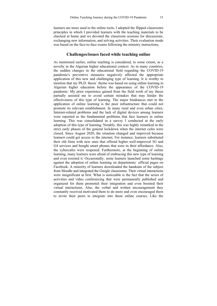learners are more used to the online tools, I adopted the flipped classrooms principles in which I provided learners with the teaching materials to be checked at home and we devoted the classroom sessions for discussions, exchanging new information, and solving activities. Their evaluation mode was based on the face-to-face exams following the ministry instructions.

### **Challenges/issues faced while teaching online**

As mentioned earlier, online teaching is considered, to some extent, as a novelty in the Algerian higher educational context. As in many countries, the sudden changes in the educational field regarding the COVID-19 pandemic's preventive measures negatively affected the appropriate application of this new and challenging type of learning. It is worthy to mention that my Ph.D. thesis` theme was based on using online learning in Algerian higher education before the appearance of the COVID-19 pandemic. My prior experience gained from the field work of my thesis partially assisted me to avoid certain mistakes that may hinder the effectiveness of this type of learning. The major hindrances met in the application of online learning is the poor infrastructure that could not promote its relevant establishment. In many rural and even urban cities, Internet-related problems and the lack of digital devices among learners were reported as the fundamental problems that face learners in online learning. This was consolidated in a survey I conducted at the early adoption of this type of learning. Notably, this was highly remarked in the strict early phases of the general lockdown when the internet cafes were closed. Since August 2020, the situation changed and improved because learners could get access to the internet. For instance, learners substituted their old Sims with new ones that offered higher well-improved 3G and G4 services and bought smart phones that were in their affordance. Also, the cybercafes were reopened. Furthermore, at the beginning of online learning, many learners were afraid of embracing this new type of learning and even resisted it. Occasionally, some learners launched some hashtags against the adoption of online learning on departments` official pages on Facebook. A minority of learners downloaded the handouts of the subject from Moodle and integrated the Google classrooms. Their virtual interactions were insignificant at first. What is noticeable is the fact that the series of activities and video conferencing that were permanently published and organized for them promoted their integration and even boosted their virtual interactions. Also, the verbal and written encouragement they constantly received motivated them to do more and even encouraged them to invite their peers to integrate into those online courses. Like the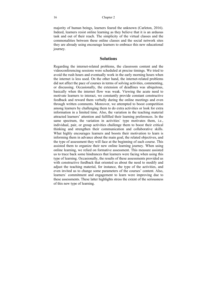majority of human beings, learners feared the unknown (Carleton, 2016). Indeed, learners resist online learning as they believe that it is an arduous task and out of their reach. The simplicity of the virtual classes and the commonalities between these online classes and the social network sites they are already using encourage learners to embrace this new educational journey.

#### **Solutions**

Regarding the internet-related problems, the classroom content and the videoconferencing sessions were scheduled at precise timings. We tried to avoid the rush hours and eventually work in the early morning hours when the internet is less used. On the other hand, the internet-related problems did not affect the pace of courses in terms of solving activities, commenting, or discussing. Occasionally, the extension of deadlines was ubiquitous, basically when the internet flow was weak. Viewing the acute need to motivate learners to interact, we constantly provide constant constructive feedback and reward them verbally during the online meetings and even through written comments. Moreover, we attempted to boost competition among learners by challenging them to do extra activities or look for extra information in a limited time. Also, the variation in the teaching material attracted learners' attention and fulfilled their learning preferences. In the same spectrum, the variation in activities` type motivates them, i.e., individual, pair, or group activities challenge them to boost their critical thinking and strengthen their communication and collaborative skills. What highly encourages learners and boosts their motivation to learn is informing them in advance about the main goal, the related objectives, and the type of assessment they will face at the beginning of each course. This assisted them to organize their new online learning journey. When using online learning, we relied on formative assessment. This measure assisted us to trace back some hindrances that learners were facing when using this type of learning. Occasionally, the results of these assessments provided us with constructive feedback that oriented us about the need to modify and adjust the teaching material, for instance, the type of the activities, and even invited us to change some parameters of the courses' content. Also, learners` commitment and engagement to learn were improving due to these assessments. These latter highlights stress the extent of the seriousness of this new type of learning.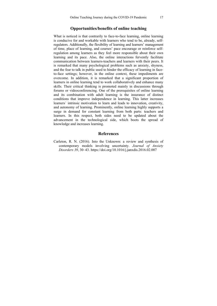### **Opportunities/benefits of online teaching**

What is noticed is that contrarily to face-to-face learning, online learning is conducive for and workable with learners who tend to be, already, selfregulators. Additionally, the flexibility of learning and learners' management of time, place of learning, and courses' pace encourage or reinforce selfregulation among learners as they feel more responsible about their own learning and its pace. Also, the online interactions fervently facilitate communication between learners-teachers and learners with their peers. It is remarked that many psychological problems such as anxiety, shyness, and the fear to talk in public used to hinder the efficacy of learning in faceto-face settings; however, in the online context, these impediments are overcome. In addition, it is remarked that a significant proportion of learners in online learning tend to work collaboratively and enhance many skills. Their critical thinking is promoted mainly in discussions through forums or videoconferencing. One of the prerequisites of online learning and its combination with adult learning is the insurance of distinct conditions that improve independence in learning. This latter increases learners` intrinsic motivation to learn and leads to innovation, creativity, and autonomy of learning. Prominently, online learning highly supports a surge in demand for constant learning from both parts: teachers and learners. In this respect, both sides need to be updated about the advancement in the technological side, which boots the spread of knowledge and increases learning.

### **References**

Carleton, R. N. (2016). Into the Unknown: a review and synthesis of contemporary models involving uncertainty. *Journal of Anxiety Disorders 39*, 30–43. https://doi.org/10.1016/j.janxdis.2016.02.007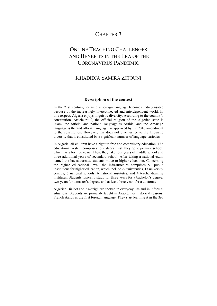## CHAPTER 3

## ONLINE TEACHING CHALLENGES AND BENEFITS IN THE ERA OF THE CORONAVIRUS PANDEMIC

## KHADIDJA SAMIRA ZITOUNI

### **Description of the context**

In the 21st century, learning a foreign language becomes indispensable because of the increasingly interconnected and interdependent world. In this respect, Algeria enjoys linguistic diversity. According to the country's constitution, Article n° 2, the official religion of the Algerian state is Islam, the official and national language is Arabic, and the Amazigh language is the 2nd official language, as approved by the 2016 amendment to the constitution. However, this does not give justice to the linguistic diversity that is constituted by a significant number of language varieties.

In Algeria, all children have a right to free and compulsory education. The educational system comprises four stages; first, they go to primary school, which lasts for five years. Then, they take four years of middle school and three additional years of secondary school. After taking a national exam named the baccalaureate, students move to higher education. Concerning the higher educational level, the infrastructure comprises 57 public institutions for higher education, which include 27 universities, 13 university centres, 6 national schools, 6 national institutes, and 4 teacher-training institutes. Students typically study for three years for a bachelor's degree, two years for a master's degree, and at least three years for a doctorate.

Algerian Dialect and Amazigh are spoken in everyday life and in informal situations. Students are primarily taught in Arabic. For historical reasons, French stands as the first foreign language. They start learning it in the 3rd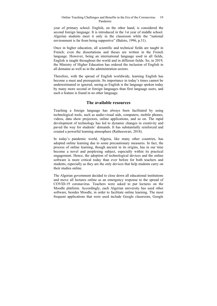#### Online Teaching Challenges and Benefits in the Era of the Coronavirus Pandemic 19

year of primary school. English, on the other hand, is considered the second foreign language. It is introduced in the 1st year of middle school. Algerian students meet it only in the classroom while the "national environment is far from being supportive" (Baloto, 1996, p.31).

Once in higher education, all scientific and technical fields are taught in French; even the dissertations and theses are written in the French language. However, being an international language used in all fields, English is taught throughout the world and in different fields. So, in 2019, the Ministry of Higher Education has ordered the inclusion of English in all domains as well as in the administration sectors.

Therefore, with the spread of English worldwide, learning English has become a must and prerequisite. Its importance in today's times cannot be underestimated or ignored, seeing as English is the language spoken today by many more second or foreign languages than first language users, and such a feature is found in no other language.

### **The available resources**

Teaching a foreign language has always been facilitated by using technological tools, such as audio-visual aids, computers, mobile phones, videos, data show projectors, online applications, and so on. The rapid development of technology has led to dynamic changes in creativity and paved the way for students' demands. It has substantially reinforced and created a powerful learning atmosphere (Ratheeswari, 2018).

In today's pandemic world, Algeria, like many other countries, has adopted online learning due to some precautionary measures. In fact, the process of online learning, though ancient in its origins, has in our time become a novel and perplexing subject, especially within its practical engagement. Hence, the adoption of technological devices and the online software is more critical today than ever before for both teachers and students, especially as they are the only devices that help students carry on their studies online.

The Algerian government decided to close down all educational institutions and move all lectures online as an emergency response to the spread of COVID-19 coronavirus. Teachers were asked to put lectures on the Moodle platform. Accordingly, each Algerian university has used other software, besides Moodle, in order to facilitate online learning. The most frequent applications that were used include Google classroom, Google